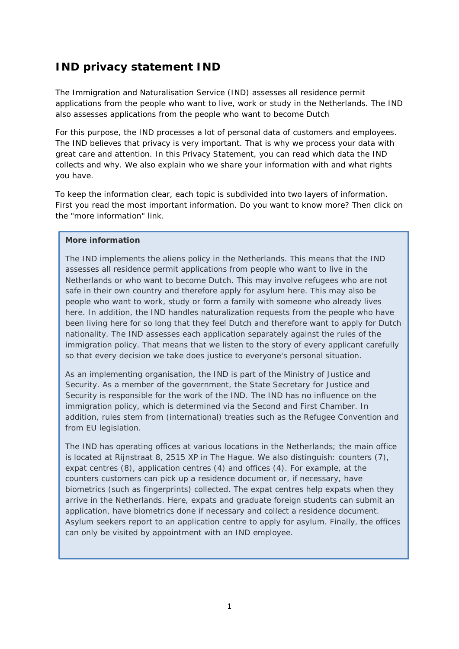# **IND privacy statement IND**

The Immigration and Naturalisation Service (IND) assesses all residence permit applications from the people who want to live, work or study in the Netherlands. The IND also assesses applications from the people who want to become Dutch

For this purpose, the IND processes a lot of personal data of customers and employees. The IND believes that privacy is very important. That is why we process your data with great care and attention. In this Privacy Statement, you can read which data the IND collects and why. We also explain who we share your information with and what rights you have.

To keep the information clear, each topic is subdivided into two layers of information. First you read the most important information. Do you want to know more? Then click on the "more information" link.

#### **More information**

The IND implements the aliens policy in the Netherlands. This means that the IND assesses all residence permit applications from people who want to live in the Netherlands or who want to become Dutch. This may involve refugees who are not safe in their own country and therefore apply for asylum here. This may also be people who want to work, study or form a family with someone who already lives here. In addition, the IND handles naturalization requests from the people who have been living here for so long that they feel Dutch and therefore want to apply for Dutch nationality. The IND assesses each application separately against the rules of the immigration policy. That means that we listen to the story of every applicant carefully so that every decision we take does justice to everyone's personal situation.

As an implementing organisation, the IND is part of the Ministry of Justice and Security. As a member of the government, the State Secretary for Justice and Security is responsible for the work of the IND. The IND has no influence on the immigration policy, which is determined via the Second and First Chamber. In addition, rules stem from (international) treaties such as the Refugee Convention and from EU legislation.

The IND has operating offices at various locations in the Netherlands; the main office is located at Rijnstraat 8, 2515 XP in The Hague. We also distinguish: counters (7), expat centres (8), application centres (4) and offices (4). For example, at the counters customers can pick up a residence document or, if necessary, have biometrics (such as fingerprints) collected. The expat centres help expats when they arrive in the Netherlands. Here, expats and graduate foreign students can submit an application, have biometrics done if necessary and collect a residence document. Asylum seekers report to an application centre to apply for asylum. Finally, the offices can only be visited by appointment with an IND employee.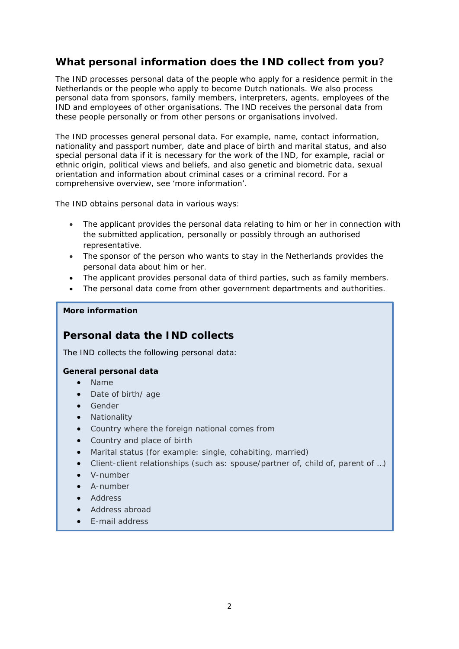## **What personal information does the IND collect from you?**

The IND processes personal data of the people who apply for a residence permit in the Netherlands or the people who apply to become Dutch nationals. We also process personal data from sponsors, family members, interpreters, agents, employees of the IND and employees of other organisations. The IND receives the personal data from these people personally or from other persons or organisations involved.

The IND processes general personal data. For example, name, contact information, nationality and passport number, date and place of birth and marital status, and also special personal data if it is necessary for the work of the IND, for example, racial or ethnic origin, political views and beliefs, and also genetic and biometric data, sexual orientation and information about criminal cases or a criminal record. For a comprehensive overview, see 'more information'.

The IND obtains personal data in various ways:

- The applicant provides the personal data relating to him or her in connection with the submitted application, personally or possibly through an authorised representative.
- The sponsor of the person who wants to stay in the Netherlands provides the personal data about him or her.
- The applicant provides personal data of third parties, such as family members.
- The personal data come from other government departments and authorities.

#### **More information**

### **Personal data the IND collects**

The IND collects the following personal data:

### **General personal data**

- Name
- Date of birth/ age
- Gender
- **Nationality**
- Country where the foreign national comes from
- Country and place of birth
- Marital status (for example: single, cohabiting, married)
- Client-client relationships (such as: spouse/partner of, child of, parent of …)
- V-number
- A-number
- **Address**
- Address abroad
- E-mail address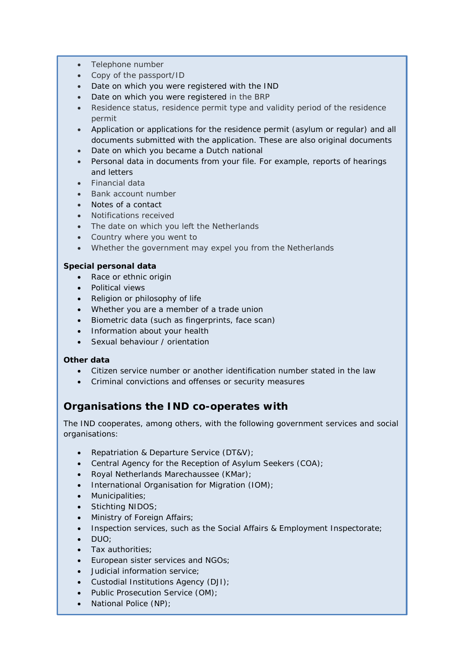- Telephone number
- Copy of the passport/ID
- Date on which you were registered with the IND
- Date on which you were registered in the BRP
- Residence status, residence permit type and validity period of the residence permit
- Application or applications for the residence permit (asylum or regular) and all documents submitted with the application. These are also original documents
- Date on which you became a Dutch national
- Personal data in documents from your file. For example, reports of hearings and letters
- Financial data
- Bank account number
- Notes of a contact
- Notifications received
- The date on which you left the Netherlands
- Country where you went to
- Whether the government may expel you from the Netherlands

### **Special personal data**

- Race or ethnic origin
- Political views
- Religion or philosophy of life
- Whether you are a member of a trade union
- Biometric data (such as fingerprints, face scan)
- Information about your health
- Sexual behaviour / orientation

### **Other data**

- Citizen service number or another identification number stated in the law
- Criminal convictions and offenses or security measures

## **Organisations the IND co-operates with**

The IND cooperates, among others, with the following government services and social organisations:

- Repatriation & Departure Service (DT&V);
- Central Agency for the Reception of Asylum Seekers (COA);
- Royal Netherlands Marechaussee (KMar);
- International Organisation for Migration (IOM);
- Municipalities;
- Stichting NIDOS;
- Ministry of Foreign Affairs;
- Inspection services, such as the Social Affairs & Employment Inspectorate;
- DUO;
- Tax authorities;
- European sister services and NGOs;
- Judicial information service;
- Custodial Institutions Agency (DJI);
- Public Prosecution Service (OM);
- National Police (NP);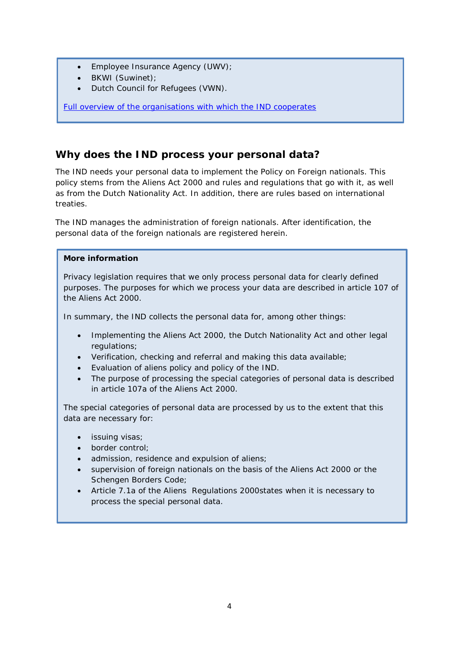- Employee Insurance Agency (UWV);
- BKWI (Suwinet);
- Dutch Council for Refugees (VWN).

[Full overview of the organisations with which the IND cooperates](https://ind.nl/Documents/AVG_stakeholders_IND.pdf)

### **Why does the IND process your personal data?**

The IND needs your personal data to implement the Policy on Foreign nationals. This policy stems from the Aliens Act 2000 and rules and regulations that go with it, as well as from the Dutch Nationality Act. In addition, there are rules based on international treaties.

The IND manages the administration of foreign nationals. After identification, the personal data of the foreign nationals are registered herein.

#### **More information**

Privacy legislation requires that we only process personal data for clearly defined purposes. The purposes for which we process your data are described in article 107 of the Aliens Act 2000.

In summary, the IND collects the personal data for, among other things:

- Implementing the Aliens Act 2000, the Dutch Nationality Act and other legal regulations;
- Verification, checking and referral and making this data available;
- Evaluation of aliens policy and policy of the IND.
- The purpose of processing the special categories of personal data is described in article 107a of the Aliens Act 2000.

The special categories of personal data are processed by us to the extent that this data are necessary for:

- issuing visas;
- border control;
- admission, residence and expulsion of aliens;
- supervision of foreign nationals on the basis of the Aliens Act 2000 or the Schengen Borders Code;
- Article 7.1a of the Aliens Regulations 2000states when it is necessary to process the special personal data.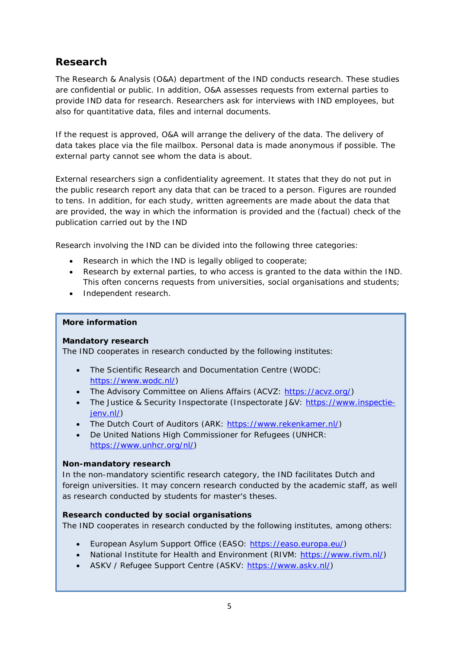# **Research**

The Research & Analysis (O&A) department of the IND conducts research. These studies are confidential or public. In addition, O&A assesses requests from external parties to provide IND data for research. Researchers ask for interviews with IND employees, but also for quantitative data, files and internal documents.

If the request is approved, O&A will arrange the delivery of the data. The delivery of data takes place via the file mailbox. Personal data is made anonymous if possible. The external party cannot see whom the data is about.

External researchers sign a confidentiality agreement. It states that they do not put in the public research report any data that can be traced to a person. Figures are rounded to tens. In addition, for each study, written agreements are made about the data that are provided, the way in which the information is provided and the (factual) check of the publication carried out by the IND

Research involving the IND can be divided into the following three categories:

- Research in which the IND is legally obliged to cooperate;
- Research by external parties, to who access is granted to the data within the IND. This often concerns requests from universities, social organisations and students;
- Independent research.

#### **More information**

### **Mandatory research**

The IND cooperates in research conducted by the following institutes:

- The Scientific Research and Documentation Centre (WODC: [https://www.wodc.nl/\)](https://www.wodc.nl/)
- The Advisory Committee on Aliens Affairs (ACVZ: [https://acvz.org/\)](https://acvz.org/)
- The Justice & Security Inspectorate (Inspectorate J&V: [https://www.inspectie](https://www.inspectie-jenv.nl/)ienv.nl/)
- The Dutch Court of Auditors (ARK: [https://www.rekenkamer.nl/\)](https://www.rekenkamer.nl/)
- De United Nations High Commissioner for Refugees (UNHCR: [https://www.unhcr.org/nl/\)](https://www.unhcr.org/nl/)

### **Non-mandatory research**

In the non-mandatory scientific research category, the IND facilitates Dutch and foreign universities. It may concern research conducted by the academic staff, as well as research conducted by students for master's theses.

#### **Research conducted by social organisations**

The IND cooperates in research conducted by the following institutes, among others:

- European Asylum Support Office (EASO: [https://easo.europa.eu/\)](https://easo.europa.eu/)
- National Institute for Health and Environment (RIVM: [https://www.rivm.nl/\)](https://www.rivm.nl/)
- ASKV / Refugee Support Centre (ASKV: [https://www.askv.nl/\)](https://www.askv.nl/)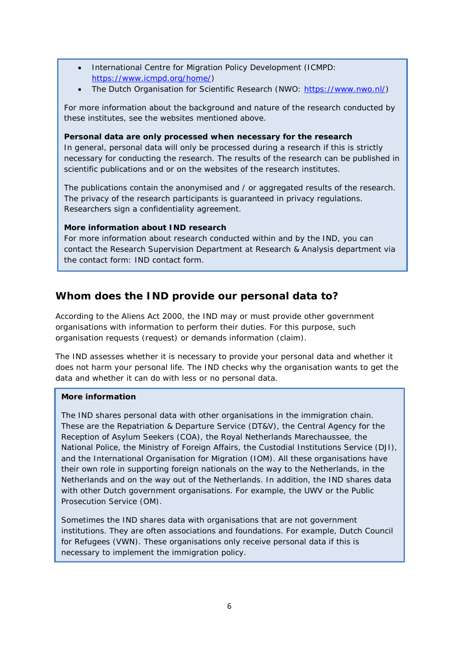- International Centre for Migration Policy Development (ICMPD: [https://www.icmpd.org/home/\)](https://www.icmpd.org/home/)
- The Dutch Organisation for Scientific Research (NWO: [https://www.nwo.nl/\)](https://www.nwo.nl/)

For more information about the background and nature of the research conducted by these institutes, see the websites mentioned above.

#### **Personal data are only processed when necessary for the research**

In general, personal data will only be processed during a research if this is strictly necessary for conducting the research. The results of the research can be published in scientific publications and or on the websites of the research institutes.

The publications contain the anonymised and / or aggregated results of the research. The privacy of the research participants is guaranteed in privacy regulations. Researchers sign a confidentiality agreement.

#### **More information about IND research**

For more information about research conducted within and by the IND, you can contact the Research Supervision Department at Research & Analysis department via the contact form: IND contact form.

## **Whom does the IND provide our personal data to?**

According to the Aliens Act 2000, the IND may or must provide other government organisations with information to perform their duties. For this purpose, such organisation requests (request) or demands information (claim).

The IND assesses whether it is necessary to provide your personal data and whether it does not harm your personal life. The IND checks why the organisation wants to get the data and whether it can do with less or no personal data.

### **More information**

The IND shares personal data with other organisations in the immigration chain. These are the Repatriation & Departure Service (DT&V), the Central Agency for the Reception of Asylum Seekers (COA), the Royal Netherlands Marechaussee, the National Police, the Ministry of Foreign Affairs, the Custodial Institutions Service (DJI), and the International Organisation for Migration (IOM). All these organisations have their own role in supporting foreign nationals on the way to the Netherlands, in the Netherlands and on the way out of the Netherlands. In addition, the IND shares data with other Dutch government organisations. For example, the UWV or the Public Prosecution Service (OM).

Sometimes the IND shares data with organisations that are not government institutions. They are often associations and foundations. For example, Dutch Council for Refugees (VWN). These organisations only receive personal data if this is necessary to implement the immigration policy.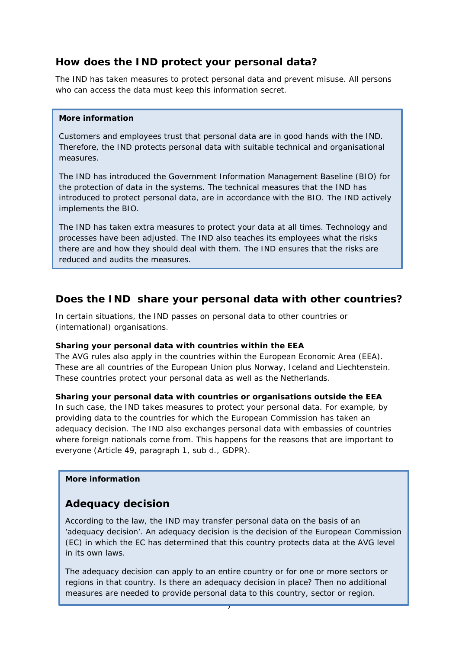## **How does the IND protect your personal data?**

The IND has taken measures to protect personal data and prevent misuse. All persons who can access the data must keep this information secret.

#### **More information**

Customers and employees trust that personal data are in good hands with the IND. Therefore, the IND protects personal data with suitable technical and organisational measures.

The IND has introduced the Government Information Management Baseline (BIO) for the protection of data in the systems. The technical measures that the IND has introduced to protect personal data, are in accordance with the BIO. The IND actively implements the BIO.

The IND has taken extra measures to protect your data at all times. Technology and processes have been adjusted. The IND also teaches its employees what the risks there are and how they should deal with them. The IND ensures that the risks are reduced and audits the measures.

## **Does the IND share your personal data with other countries?**

In certain situations, the IND passes on personal data to other countries or (international) organisations.

### **Sharing your personal data with countries within the EEA**

The AVG rules also apply in the countries within the European Economic Area (EEA). These are all countries of the European Union plus Norway, Iceland and Liechtenstein. These countries protect your personal data as well as the Netherlands.

### **Sharing your personal data with countries or organisations outside the EEA**

In such case, the IND takes measures to protect your personal data. For example, by providing data to the countries for which the European Commission has taken an adequacy decision. The IND also exchanges personal data with embassies of countries where foreign nationals come from. This happens for the reasons that are important to everyone (Article 49, paragraph 1, sub d., GDPR).

#### **More information**

## **Adequacy decision**

According to the law, the IND may transfer personal data on the basis of an 'adequacy decision'. An adequacy decision is the decision of the European Commission (EC) in which the EC has determined that this country protects data at the AVG level in its own laws.

The adequacy decision can apply to an entire country or for one or more sectors or regions in that country. Is there an adequacy decision in place? Then no additional measures are needed to provide personal data to this country, sector or region.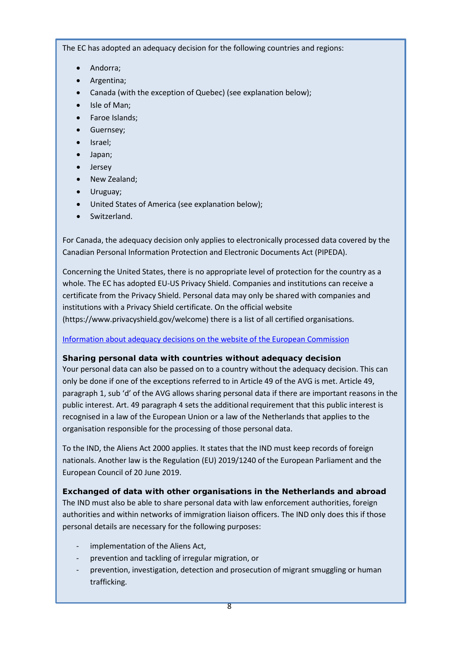The EC has adopted an adequacy decision for the following countries and regions:

- Andorra;
- Argentina;
- Canada (with the exception of Quebec) (see explanation below);
- Isle of Man;
- Faroe Islands;
- Guernsey;
- Israel;
- Japan;
- **Jersey**
- New Zealand;
- Uruguay;
- United States of America (see explanation below);
- Switzerland.

For Canada, the adequacy decision only applies to electronically processed data covered by the Canadian Personal Information Protection and Electronic Documents Act (PIPEDA).

Concerning the United States, there is no appropriate level of protection for the country as a whole. The EC has adopted EU-US Privacy Shield. Companies and institutions can receive a certificate from the Privacy Shield. Personal data may only be shared with companies and institutions with a Privacy Shield certificate. On the official website (https://www.privacyshield.gov/welcome) there is a list of all certified organisations.

[Information about adequacy decisions on the website of the European Commission](https://ec.europa.eu/info/law/law-topic/data-protection/international-dimension-data-protection/adequacy-decisions_en)

### **Sharing personal data with countries without adequacy decision**

Your personal data can also be passed on to a country without the adequacy decision. This can only be done if one of the exceptions referred to in Article 49 of the AVG is met. Article 49, paragraph 1, sub 'd' of the AVG allows sharing personal data if there are important reasons in the public interest. Art. 49 paragraph 4 sets the additional requirement that this public interest is recognised in a law of the European Union or a law of the Netherlands that applies to the organisation responsible for the processing of those personal data.

To the IND, the Aliens Act 2000 applies. It states that the IND must keep records of foreign nationals. Another law is the Regulation (EU) 2019/1240 of the European Parliament and the European Council of 20 June 2019.

**Exchanged of data with other organisations in the Netherlands and abroad** The IND must also be able to share personal data with law enforcement authorities, foreign authorities and within networks of immigration liaison officers. The IND only does this if those personal details are necessary for the following purposes:

- implementation of the Aliens Act,
- prevention and tackling of irregular migration, or
- prevention, investigation, detection and prosecution of migrant smuggling or human trafficking.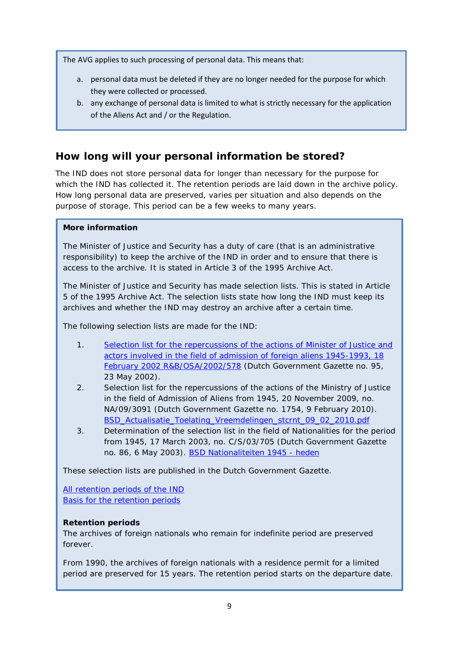The AVG applies to such processing of personal data. This means that:

- a. personal data must be deleted if they are no longer needed for the purpose for which they were collected or processed.
- b. any exchange of personal data is limited to what is strictly necessary for the application of the Aliens Act and / or the Regulation.

# **How long will your personal information be stored?**

The IND does not store personal data for longer than necessary for the purpose for which the IND has collected it. The retention periods are laid down in the archive policy. How long personal data are preserved, varies per situation and also depends on the purpose of storage. This period can be a few weeks to many years.

### **More information**

The Minister of Justice and Security has a duty of care (that is an administrative responsibility) to keep the archive of the IND in order and to ensure that there is access to the archive. It is stated in Article 3 of the 1995 Archive Act.

The Minister of Justice and Security has made selection lists. This is stated in Article 5 of the 1995 Archive Act. The selection lists state how long the IND must keep its archives and whether the IND may destroy an archive after a certain time.

The following selection lists are made for the IND:

- 1. [Selection list for the repercussions of the actions of Minister of Justice and](https://zoek.officielebekendmakingen.nl/stcrt-2002-95-p9-SC34630.html)  [actors involved in the field of admission of foreign aliens 1945-1993, 18](https://zoek.officielebekendmakingen.nl/stcrt-2002-95-p9-SC34630.html)  [February 2002 R&B/OSA/2002/578](https://zoek.officielebekendmakingen.nl/stcrt-2002-95-p9-SC34630.html) (Dutch Government Gazette no. 95, 23 May 2002).
- 2. Selection list for the repercussions of the actions of the Ministry of Justice in the field of Admission of Aliens from 1945, 20 November 2009, no. NA/09/3091 (Dutch Government Gazette no. 1754, 9 February 2010). [BSD\\_Actualisatie\\_Toelating\\_Vreemdelingen\\_stcrnt\\_09\\_02\\_2010.pdf](https://www.nationaalarchief.nl/sites/default/files/field-file/selectielijsten/BSD_Actualisatie_Toelating_Vreemdelingen_stcrnt_09_02_2010.pdf)
- 3. Determination of the selection list in the field of Nationalities for the period from 1945, 17 March 2003, no. C/S/03/705 (Dutch Government Gazette no. 86, 6 May 2003). [BSD Nationaliteiten 1945 -](http://wetten.overheid.nl/BWBR0014821/2003-05-08) heden

These selection lists are published in the Dutch Government Gazette.

[All retention periods of the IND](https://ind.nl/Documents/AVG_Bewaartermijnenlijst%20_IND.pdf) [Basis for the retention periods](https://ind.nl/Documents/AVG_Grondslagen_bewaartermijnenlijst_IND.pdf) 

### **Retention periods**

The archives of foreign nationals who remain for indefinite period are preserved forever.

From 1990, the archives of foreign nationals with a residence permit for a limited period are preserved for 15 years. The retention period starts on the departure date.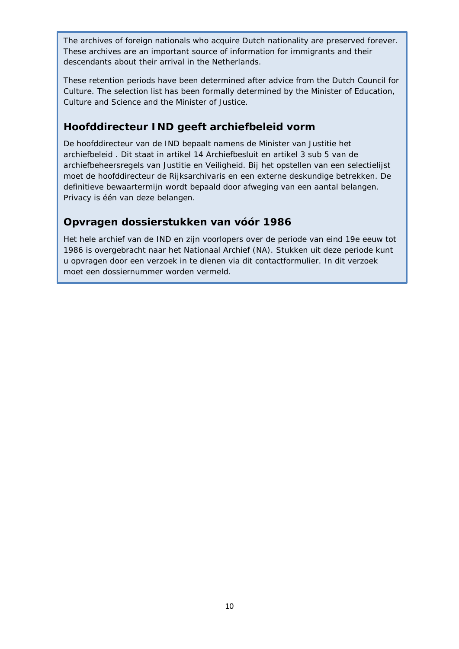The archives of foreign nationals who acquire Dutch nationality are preserved forever. These archives are an important source of information for immigrants and their descendants about their arrival in the Netherlands.

These retention periods have been determined after advice from the Dutch Council for Culture. The selection list has been formally determined by the Minister of Education, Culture and Science and the Minister of Justice.

## **Hoofddirecteur IND geeft archiefbeleid vorm**

De hoofddirecteur van de IND bepaalt namens de Minister van Justitie het archiefbeleid . Dit staat in artikel 14 Archiefbesluit en artikel 3 sub 5 van de archiefbeheersregels van Justitie en Veiligheid. Bij het opstellen van een selectielijst moet de hoofddirecteur de Rijksarchivaris en een externe deskundige betrekken. De definitieve bewaartermijn wordt bepaald door afweging van een aantal belangen. Privacy is één van deze belangen.

# **Opvragen dossierstukken van vóór 1986**

Het hele archief van de IND en zijn voorlopers over de periode van eind 19e eeuw tot 1986 is overgebracht naar het Nationaal Archief (NA). Stukken uit deze periode kunt u opvragen door een verzoek in te dienen via dit contactformulier. In dit verzoek moet een dossiernummer worden vermeld.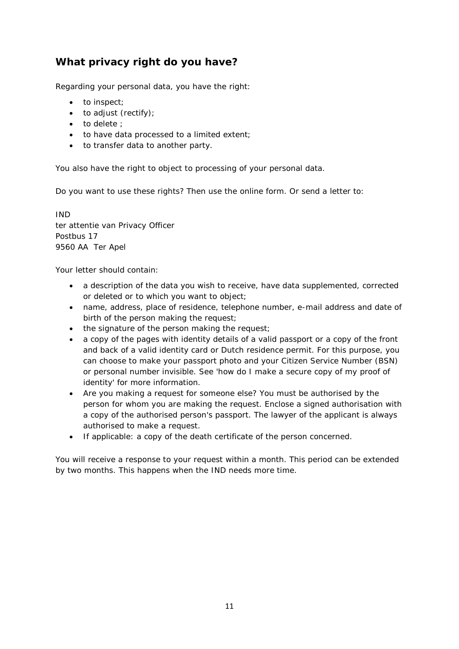# **What privacy right do you have?**

Regarding your personal data, you have the right:

- to inspect;
- to adjust (rectify);
- to delete :
- to have data processed to a limited extent;
- to transfer data to another party.

You also have the right to object to processing of your personal data.

Do you want to use these rights? Then use the online form. Or send a letter to:

IND ter attentie van Privacy Officer Postbus 17 9560 AA Ter Apel

Your letter should contain:

- a description of the data you wish to receive, have data supplemented, corrected or deleted or to which you want to object;
- name, address, place of residence, telephone number, e-mail address and date of birth of the person making the request;
- the signature of the person making the request;
- a copy of the pages with identity details of a valid passport or a copy of the front and back of a valid identity card or Dutch residence permit. For this purpose, you can choose to make your passport photo and your Citizen Service Number (BSN) or personal number invisible. See 'how do I make a secure copy of my proof of identity' for more information.
- Are you making a request for someone else? You must be authorised by the person for whom you are making the request. Enclose a signed authorisation with a copy of the authorised person's passport. The lawyer of the applicant is always authorised to make a request.
- If applicable: a copy of the death certificate of the person concerned.

You will receive a response to your request within a month. This period can be extended by two months. This happens when the IND needs more time.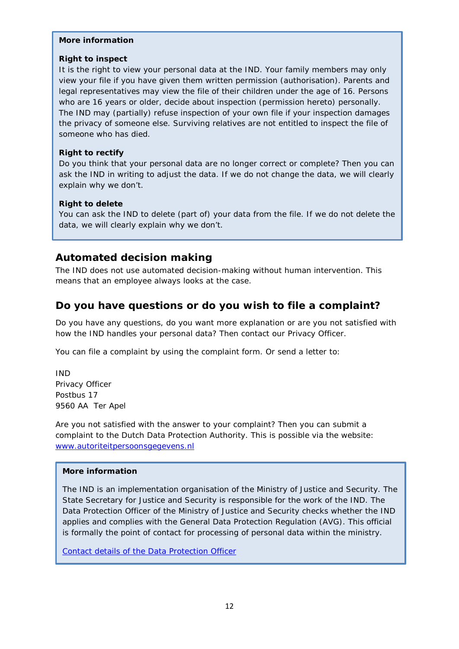#### **More information**

#### **Right to inspect**

It is the right to view your personal data at the IND. Your family members may only view your file if you have given them written permission (authorisation). Parents and legal representatives may view the file of their children under the age of 16. Persons who are 16 years or older, decide about inspection (permission hereto) personally. The IND may (partially) refuse inspection of your own file if your inspection damages the privacy of someone else. Surviving relatives are not entitled to inspect the file of someone who has died.

#### **Right to rectify**

Do you think that your personal data are no longer correct or complete? Then you can ask the IND in writing to adjust the data. If we do not change the data, we will clearly explain why we don't.

#### **Right to delete**

You can ask the IND to delete (part of) your data from the file. If we do not delete the data, we will clearly explain why we don't.

### **Automated decision making**

The IND does not use automated decision-making without human intervention. This means that an employee always looks at the case.

### **Do you have questions or do you wish to file a complaint?**

Do you have any questions, do you want more explanation or are you not satisfied with how the IND handles your personal data? Then contact our Privacy Officer.

You can file a complaint by using the complaint form. Or send a letter to:

IND Privacy Officer Postbus 17 9560 AA Ter Apel

Are you not satisfied with the answer to your complaint? Then you can submit a complaint to the Dutch Data Protection Authority. This is possible via the website: [www.autoriteitpersoonsgegevens.nl](http://www.autoriteitpersoonsgegevens.nl/)

#### **More information**

The IND is an implementation organisation of the Ministry of Justice and Security. The State Secretary for Justice and Security is responsible for the work of the IND. The Data Protection Officer of the Ministry of Justice and Security checks whether the IND applies and complies with the General Data Protection Regulation (AVG). This official is formally the point of contact for processing of personal data within the ministry.

[Contact details of the Data Protection Officer](https://www.rijksoverheid.nl/ministeries/ministerie-van-justitie-en-veiligheid/privacy)